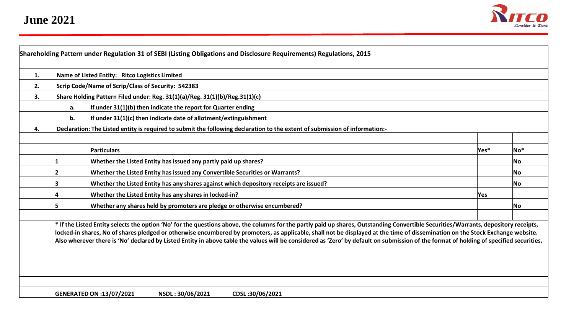

| 1. |                                                                     | Name of Listed Entity: Ritco Logistics Limited                                                                                                                                                                                                                                                                                                                                                                                                                                                                                                                    |      |           |  |  |  |  |  |  |  |  |  |  |  |
|----|---------------------------------------------------------------------|-------------------------------------------------------------------------------------------------------------------------------------------------------------------------------------------------------------------------------------------------------------------------------------------------------------------------------------------------------------------------------------------------------------------------------------------------------------------------------------------------------------------------------------------------------------------|------|-----------|--|--|--|--|--|--|--|--|--|--|--|
| 2. |                                                                     | Scrip Code/Name of Scrip/Class of Security: 542383                                                                                                                                                                                                                                                                                                                                                                                                                                                                                                                |      |           |  |  |  |  |  |  |  |  |  |  |  |
| 3. |                                                                     | Share Holding Pattern Filed under: Reg. 31(1)(a)/Reg. 31(1)(b)/Reg.31(1)(c)                                                                                                                                                                                                                                                                                                                                                                                                                                                                                       |      |           |  |  |  |  |  |  |  |  |  |  |  |
|    | If under 31(1)(b) then indicate the report for Quarter ending<br>а. |                                                                                                                                                                                                                                                                                                                                                                                                                                                                                                                                                                   |      |           |  |  |  |  |  |  |  |  |  |  |  |
|    | b.                                                                  | If under $31(1)(c)$ then indicate date of allotment/extinguishment                                                                                                                                                                                                                                                                                                                                                                                                                                                                                                |      |           |  |  |  |  |  |  |  |  |  |  |  |
| 4. |                                                                     | Declaration: The Listed entity is required to submit the following declaration to the extent of submission of information:-                                                                                                                                                                                                                                                                                                                                                                                                                                       |      |           |  |  |  |  |  |  |  |  |  |  |  |
|    |                                                                     |                                                                                                                                                                                                                                                                                                                                                                                                                                                                                                                                                                   |      |           |  |  |  |  |  |  |  |  |  |  |  |
|    |                                                                     | <b>Particulars</b>                                                                                                                                                                                                                                                                                                                                                                                                                                                                                                                                                | Yes* | $No*$     |  |  |  |  |  |  |  |  |  |  |  |
|    |                                                                     | Whether the Listed Entity has issued any partly paid up shares?                                                                                                                                                                                                                                                                                                                                                                                                                                                                                                   |      | No.       |  |  |  |  |  |  |  |  |  |  |  |
|    |                                                                     | Whether the Listed Entity has issued any Convertible Securities or Warrants?                                                                                                                                                                                                                                                                                                                                                                                                                                                                                      |      | No.       |  |  |  |  |  |  |  |  |  |  |  |
|    |                                                                     | Whether the Listed Entity has any shares against which depository receipts are issued?                                                                                                                                                                                                                                                                                                                                                                                                                                                                            |      | <b>No</b> |  |  |  |  |  |  |  |  |  |  |  |
|    |                                                                     | Whether the Listed Entity has any shares in locked-in?                                                                                                                                                                                                                                                                                                                                                                                                                                                                                                            | Yes  |           |  |  |  |  |  |  |  |  |  |  |  |
|    |                                                                     | Whether any shares held by promoters are pledge or otherwise encumbered?                                                                                                                                                                                                                                                                                                                                                                                                                                                                                          |      | No        |  |  |  |  |  |  |  |  |  |  |  |
|    |                                                                     | * If the Listed Entity selects the option 'No' for the questions above, the columns for the partly paid up shares, Outstanding Convertible Securities/Warrants, depository receipts,<br>locked-in shares, No of shares pledged or otherwise encumbered by promoters, as applicable, shall not be displayed at the time of dissemination on the Stock Exchange website.<br>Also wherever there is 'No' declared by Listed Entity in above table the values will be considered as 'Zero' by default on submission of the format of holding of specified securities. |      |           |  |  |  |  |  |  |  |  |  |  |  |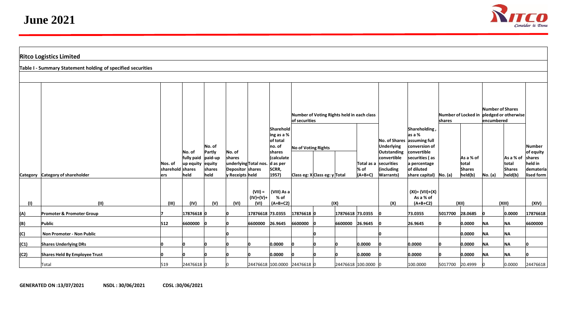

| <b>Ritco Logistics Limited</b>                              |                                      |                                     |                                                   |                                              |                                                         |                                  |                                                                                          |                     |                                   |                  |                                            |                                                                                                                                            |                                                                                                                                           |                               |                                                 |                                                        |                                                |                                                                     |
|-------------------------------------------------------------|--------------------------------------|-------------------------------------|---------------------------------------------------|----------------------------------------------|---------------------------------------------------------|----------------------------------|------------------------------------------------------------------------------------------|---------------------|-----------------------------------|------------------|--------------------------------------------|--------------------------------------------------------------------------------------------------------------------------------------------|-------------------------------------------------------------------------------------------------------------------------------------------|-------------------------------|-------------------------------------------------|--------------------------------------------------------|------------------------------------------------|---------------------------------------------------------------------|
| Table I - Summary Statement holding of specified securities |                                      |                                     |                                                   |                                              |                                                         |                                  |                                                                                          |                     |                                   |                  |                                            |                                                                                                                                            |                                                                                                                                           |                               |                                                 |                                                        |                                                |                                                                     |
|                                                             |                                      |                                     |                                                   |                                              |                                                         |                                  |                                                                                          |                     |                                   |                  |                                            |                                                                                                                                            |                                                                                                                                           |                               |                                                 |                                                        |                                                |                                                                     |
|                                                             |                                      |                                     |                                                   |                                              |                                                         |                                  |                                                                                          | of securities       |                                   |                  | Number of Voting Rights held in each class |                                                                                                                                            |                                                                                                                                           | Number of Locked in<br>shares |                                                 | Number of Shares<br>pledged or otherwise<br>encumbered |                                                |                                                                     |
|                                                             | Category Category of shareholder     | Nos. of<br>sharehold shares<br>lers | No. of<br>fully paid paid-up<br>up equity<br>held | No. of<br>Partly<br>equity<br>shares<br>held | No. of<br>shares<br>Depositor shares<br>v Receipts held | underlying Total nos. d as per   | Sharehold<br>ing as a %<br>of total<br>$ no.$ of<br>shares<br>Calculate<br>SCRR,<br>1957 | No of Voting Rights | Class eg: $X$ Class eg: $y$ Total |                  | % of<br>$(A+B+C)$                          | No. of Shares assuming full<br><b>Underlying</b><br>Outstanding<br>convertible<br>Total as a securities<br>(including<br><b>Warrants</b> ) | Shareholding<br>las a %<br>conversion of<br>convertible<br>securities (as<br>a percentage<br>of diluted<br>share capital) $\vert$ No. (a) |                               | As a % of<br>total<br>Shares<br>$\vert$ held(b) | No. (a)                                                | As a % of<br>total<br><b>Shares</b><br>held(b) | Number<br>of equity<br>shares<br>held in<br>demateria<br>lised form |
| (1)                                                         | (11)                                 | (III)                               | (IV)                                              | (V)                                          | (VI)                                                    | $(VII) =$<br>$(IV)+(V)+$<br>(VI) | (VIII) As a<br>% of<br>$(A+B+C2)$                                                        | (IX)                |                                   |                  |                                            | (X)                                                                                                                                        | $(XI) = (VII)+(X)$<br>As a % of<br>$(A+B+C2)$                                                                                             | (XII)                         |                                                 | (XIII)                                                 |                                                | (XIV)                                                               |
| (A)                                                         | <b>Promoter &amp; Promoter Group</b> |                                     | 17876618 0                                        |                                              |                                                         | 17876618 73.0355                 |                                                                                          | 17876618 0          |                                   | 17876618 73.0355 |                                            |                                                                                                                                            | 73.0355                                                                                                                                   | 5017700                       | 28.0685                                         |                                                        | 0.0000                                         | 17876618                                                            |
| (B)                                                         | Public                               | 512                                 | 6600000                                           |                                              |                                                         | 6600000 26.9645                  |                                                                                          | 6600000 0           |                                   |                  | 6600000 26.9645                            |                                                                                                                                            | 26.9645                                                                                                                                   |                               | 0.0000                                          | <b>NA</b>                                              | <b>NA</b>                                      | 6600000                                                             |
| (C)                                                         | Non Promoter - Non Public            |                                     |                                                   |                                              |                                                         |                                  |                                                                                          |                     |                                   |                  |                                            |                                                                                                                                            |                                                                                                                                           |                               | 0.0000                                          | <b>NA</b>                                              | <b>NA</b>                                      |                                                                     |
| (C1)                                                        | <b>Shares Underlying DRs</b>         |                                     |                                                   |                                              |                                                         |                                  | 0.0000                                                                                   |                     |                                   |                  | 0.0000                                     |                                                                                                                                            | 0.0000                                                                                                                                    |                               | 0.0000                                          | <b>NA</b>                                              | <b>NA</b>                                      | n                                                                   |
| (C2)                                                        | Shares Held By Employee Trust        |                                     |                                                   |                                              |                                                         |                                  | 0.0000                                                                                   |                     |                                   |                  | 0.0000                                     |                                                                                                                                            | 0.0000                                                                                                                                    |                               | 0.0000                                          | <b>NA</b>                                              | İΝA                                            | ın                                                                  |
|                                                             | Total                                | 519                                 | 24476618 0                                        |                                              |                                                         | 24476618 100.0000 24476618 0     |                                                                                          |                     |                                   |                  | 24476618 100.0000 0                        |                                                                                                                                            | 100.0000                                                                                                                                  | 5017700 20.4999               |                                                 |                                                        | 0.0000                                         | 24476618                                                            |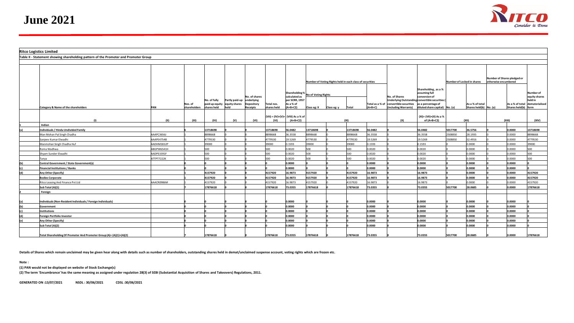

|     | <b>Ritco Logistics Limited</b>                                                       |            |                         |                             |                                                        |                                                       |                           |                                                            |                                                          |  |          |                  |                                                                                 |                                                                                                                          |                            |                                           |                                                     |                     |                                                            |
|-----|--------------------------------------------------------------------------------------|------------|-------------------------|-----------------------------|--------------------------------------------------------|-------------------------------------------------------|---------------------------|------------------------------------------------------------|----------------------------------------------------------|--|----------|------------------|---------------------------------------------------------------------------------|--------------------------------------------------------------------------------------------------------------------------|----------------------------|-------------------------------------------|-----------------------------------------------------|---------------------|------------------------------------------------------------|
|     | Table II - Statement showing shareholding pattern of the Promoter and Promoter Group |            |                         |                             |                                                        |                                                       |                           |                                                            |                                                          |  |          |                  |                                                                                 |                                                                                                                          |                            |                                           |                                                     |                     |                                                            |
|     |                                                                                      |            |                         |                             |                                                        |                                                       |                           |                                                            |                                                          |  |          |                  |                                                                                 |                                                                                                                          |                            |                                           |                                                     |                     |                                                            |
|     |                                                                                      |            |                         |                             |                                                        |                                                       |                           |                                                            | Number of Voting Rights held in each class of securities |  |          |                  | Shareholding, as a %                                                            |                                                                                                                          | Number of Locked in shares |                                           | Number of Shares pledged or<br>otherwise encumbered |                     |                                                            |
|     |                                                                                      |            |                         |                             |                                                        |                                                       |                           | Shareholding % No of Voting Rights                         |                                                          |  |          |                  |                                                                                 | assuming full                                                                                                            |                            |                                           |                                                     |                     | lNumber of                                                 |
|     | Category & Name of the shareholders                                                  | PAN        | Nos. of<br>shareholders | No. of fully<br>shares held | Partly paid-up<br>paid up equity equity shares<br>held | No. of shares<br>underlying<br>Depository<br>Receipts | Total nos.<br>shares held | calculated as<br>per SCRR, 1957<br>As a % of<br>$(A+B+C2)$ |                                                          |  | Total    | $(A+B+C)$        | No. of Shares<br>Total as a % of convertible securities<br>(including Warrants) | conversion of<br>Underlying Outstanding convertible securities (<br>as a percentage of<br>diluted share capital) No. (a) |                            | As a % of total<br>Shares held(b) No. (a) |                                                     | Shares held(b) form | equity shares<br>held in<br>As a % of total dematerialised |
|     |                                                                                      | (11)       | (III)                   | (IV)                        | (V)                                                    | (VI)                                                  | (VI)                      | $ VII  =  IV)+(V)+ VIII $ As a % of<br>$(A+B+C2)$          |                                                          |  | (IX)     |                  | (X)                                                                             | (XI)= (VII)+(X) As a %<br>of $(A+B+C2)$                                                                                  |                            | (XII)                                     |                                                     | (XIII)              | (XIV)                                                      |
|     | Indian                                                                               |            |                         |                             |                                                        |                                                       |                           |                                                            |                                                          |  |          |                  |                                                                                 |                                                                                                                          |                            |                                           |                                                     |                     |                                                            |
| (a) | Individuals / Hindu Undivided Family                                                 |            |                         | 13718698                    |                                                        |                                                       | 13718698                  | 56.0482                                                    | 13718698                                                 |  | 13718698 | 56.0482          |                                                                                 | 56.0482                                                                                                                  | 5017700                    | 36.5756                                   |                                                     | 0.0000              | 13718698                                                   |
|     | Man Mohan Pal Singh Chadha                                                           | AAAPC3656J |                         | 8898668                     |                                                        |                                                       | 8898668                   | 36.3558                                                    | 8898668                                                  |  | 8898668  | 36.3558          |                                                                                 | 36.3558                                                                                                                  | 2508850                    | 28.1935                                   |                                                     | 0.0000              | 8898668                                                    |
|     | Sanjeev Kumar Elwadhi                                                                | AAAPE4754B |                         | 4779530                     |                                                        |                                                       | 4779530                   | 19.5269                                                    | 4779530                                                  |  | 4779530  | 19.5269          |                                                                                 | 19.5269                                                                                                                  | 508850                     | 52.4916                                   |                                                     | 0.0000              | 4779530                                                    |
|     | Manmohan Singh Chadha Huf                                                            | AADHM2652P |                         | 39000                       |                                                        |                                                       | 39000                     | 0.1593                                                     | 39000                                                    |  | 39000    | 0.1593           |                                                                                 | .1593                                                                                                                    |                            | 0000.                                     |                                                     | 0.0000              | 39000                                                      |
|     | Roma Wadhwa                                                                          | ABGPW6541H |                         | 500                         |                                                        |                                                       | 500                       | 0.0020                                                     | 500                                                      |  | 500      | 0.0020           |                                                                                 | 0.0020                                                                                                                   |                            | 0000.0                                    |                                                     | 0.0000              | 500                                                        |
|     | Shyam Sunder Elwadhi                                                                 | AADPE3391F |                         | 500                         |                                                        |                                                       | 500                       | 0.0020                                                     | 500                                                      |  | 500      | 0.0020           |                                                                                 | 0.0020                                                                                                                   |                            | 0.0000                                    |                                                     | 0.0000              | 500                                                        |
|     | Tanya                                                                                | ATTPT7222K |                         | 500                         |                                                        |                                                       | 500                       | 0.0020                                                     | 500                                                      |  | 500      | 0.0020           |                                                                                 | 0.0020                                                                                                                   |                            | 0000.0                                    |                                                     | 0.0000              | 500                                                        |
| (b) | Central Government / State Government(s)                                             |            |                         |                             |                                                        |                                                       |                           | 0.0000                                                     |                                                          |  |          | 0.0000           |                                                                                 | 0.0000                                                                                                                   |                            | 0.0000                                    |                                                     | 0.0000              |                                                            |
| (c) | <b>Financial Institutions / Banks</b>                                                |            |                         |                             |                                                        |                                                       |                           | 0.0000                                                     |                                                          |  |          | 0.0000           |                                                                                 | 0.0000                                                                                                                   |                            | 0.0000                                    |                                                     | 0.0000              |                                                            |
| (d) | Any Other (Specify)                                                                  |            |                         | 4157920                     |                                                        |                                                       | 4157920                   | 16.9873                                                    | 4157920                                                  |  | 4157920  | 16.9873          |                                                                                 | 16.9873                                                                                                                  |                            | 0.0000                                    |                                                     | 0.0000              | 4157920                                                    |
|     | <b>Bodies Corporate</b>                                                              |            |                         | 4157920                     |                                                        |                                                       | 4157920                   | 16.9873                                                    | 4157920                                                  |  | 4157920  | 16.9873          |                                                                                 | 16.9873                                                                                                                  |                            | 0.0000                                    |                                                     | 0.0000              | 4157920                                                    |
|     | Ritco Leasing And Finance Pvt Ltd                                                    | AAACR0986M |                         | 4157920                     |                                                        |                                                       | 4157920                   | 16.9873                                                    | 4157920                                                  |  | 4157920  | 16.9873          |                                                                                 | 6.9873                                                                                                                   |                            | 0000.0                                    |                                                     | 0.0000              | 4157920                                                    |
|     | Sub Total (A)(1)                                                                     |            |                         | 17876618                    |                                                        |                                                       | 17876618                  | 73.0355                                                    | 17876618                                                 |  | 17876618 | 73.0355          |                                                                                 | 73.0355                                                                                                                  | 5017700                    | 28.0685                                   |                                                     | 0.0000              | 17876618                                                   |
|     | Foreign                                                                              |            |                         |                             |                                                        |                                                       |                           |                                                            |                                                          |  |          |                  |                                                                                 |                                                                                                                          |                            |                                           |                                                     |                     |                                                            |
|     |                                                                                      |            |                         |                             |                                                        |                                                       |                           |                                                            |                                                          |  |          |                  |                                                                                 |                                                                                                                          |                            |                                           |                                                     |                     |                                                            |
| (a) | ndividuals (Non-Resident Individuals / Foreign Individuals)                          |            |                         |                             |                                                        |                                                       |                           | 0.0000                                                     |                                                          |  |          | 0.0000           |                                                                                 | 0.0000                                                                                                                   |                            | 0.0000                                    |                                                     | 0.0000              |                                                            |
| (b) | Government                                                                           |            |                         |                             |                                                        |                                                       |                           | 0.0000                                                     |                                                          |  |          | 0.0000           |                                                                                 | 0.0000                                                                                                                   |                            | 0.0000                                    |                                                     | 0.0000              |                                                            |
| (c) | <b>Institutions</b>                                                                  |            |                         |                             |                                                        |                                                       |                           | 0.0000                                                     |                                                          |  |          | 0.0000           |                                                                                 | 0.0000                                                                                                                   |                            | 0.0000                                    |                                                     | 0.0000              |                                                            |
| (d) | Foreign Portfolio Investor                                                           |            |                         |                             |                                                        |                                                       |                           | 0.0000<br>0.0000                                           |                                                          |  |          | 0.0000<br>0.0000 |                                                                                 | 0.0000<br>0.0000                                                                                                         |                            | 0.0000<br>0.0000                          |                                                     | 0.0000<br>0.0000    |                                                            |
| (e) | Any Other (Specify)                                                                  |            |                         |                             |                                                        |                                                       |                           | 0.0000                                                     |                                                          |  |          | 0.0000           |                                                                                 | 0.0000                                                                                                                   |                            | 0.0000                                    |                                                     | 0.0000              |                                                            |
|     | Sub Total (A)(2)                                                                     |            |                         |                             |                                                        |                                                       |                           |                                                            |                                                          |  |          |                  |                                                                                 |                                                                                                                          |                            |                                           |                                                     |                     |                                                            |
|     | Total Shareholding Of Promoter And Promoter Group (A)= (A)(1)+(A)(2)                 |            |                         | 17876618                    |                                                        |                                                       | 17876618                  | 73.0355                                                    | 17876618                                                 |  | 17876618 | 73.0355          |                                                                                 | 73.0355                                                                                                                  | 5017700                    | 28.0685                                   |                                                     | 0.0000              | 17876618                                                   |

**Details of Shares which remain unclaimed may be given hear along with details such as number of shareholders, outstanding shares held in demat/unclaimed suspense account, voting rights which are frozen etc.**

**Note :**

**(1) PAN would not be displayed on website of Stock Exchange(s)** 

**(2) The term 'Encumbrance' has the same meaning as assigned under regulation 28(3) of SEBI (Substantial Acquisition of Shares and Takeovers) Regulations, 2011.**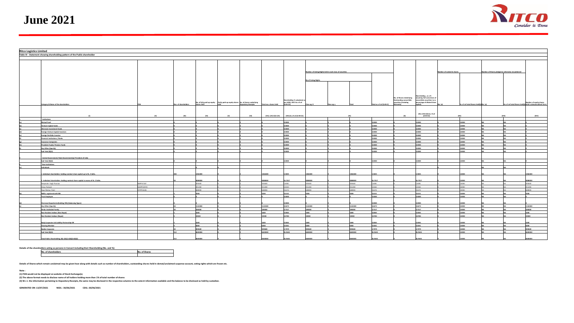

| <b>Ritco Logistics Limited</b> |                                                                                   |                 |                      |             |                                                                                   |                     |                        |                                                       |                                                          |             |         |                         |                                    |                                       |  |                                                  |  |  |                                                                                      |
|--------------------------------|-----------------------------------------------------------------------------------|-----------------|----------------------|-------------|-----------------------------------------------------------------------------------|---------------------|------------------------|-------------------------------------------------------|----------------------------------------------------------|-------------|---------|-------------------------|------------------------------------|---------------------------------------|--|--------------------------------------------------|--|--|--------------------------------------------------------------------------------------|
|                                |                                                                                   |                 |                      |             |                                                                                   |                     |                        |                                                       |                                                          |             |         |                         |                                    |                                       |  |                                                  |  |  |                                                                                      |
|                                | Table III - Statement showing shareholding pattern of the Public shareholder      |                 |                      |             |                                                                                   |                     |                        |                                                       |                                                          |             |         |                         |                                    |                                       |  |                                                  |  |  |                                                                                      |
|                                |                                                                                   |                 |                      |             |                                                                                   |                     |                        |                                                       |                                                          |             |         |                         |                                    |                                       |  |                                                  |  |  |                                                                                      |
|                                |                                                                                   |                 |                      |             |                                                                                   |                     |                        |                                                       |                                                          |             |         |                         |                                    |                                       |  |                                                  |  |  |                                                                                      |
|                                |                                                                                   |                 |                      |             |                                                                                   |                     |                        |                                                       |                                                          |             |         |                         |                                    |                                       |  |                                                  |  |  |                                                                                      |
|                                |                                                                                   |                 |                      |             |                                                                                   |                     |                        |                                                       |                                                          |             |         |                         |                                    |                                       |  |                                                  |  |  |                                                                                      |
|                                |                                                                                   |                 |                      |             |                                                                                   |                     |                        |                                                       |                                                          |             |         |                         |                                    |                                       |  |                                                  |  |  |                                                                                      |
|                                |                                                                                   |                 |                      |             |                                                                                   |                     |                        |                                                       | Number of Voting Rights held in each class of securities |             |         |                         |                                    | Number of Locked in shares            |  | Number of Shares pledged or otherwise encumbered |  |  |                                                                                      |
|                                |                                                                                   |                 |                      |             |                                                                                   |                     |                        |                                                       |                                                          |             |         |                         |                                    |                                       |  |                                                  |  |  |                                                                                      |
|                                |                                                                                   |                 |                      |             |                                                                                   |                     |                        |                                                       |                                                          |             |         |                         |                                    |                                       |  |                                                  |  |  |                                                                                      |
|                                |                                                                                   |                 |                      |             |                                                                                   |                     |                        |                                                       | No of Voting Rights                                      |             |         |                         |                                    |                                       |  |                                                  |  |  |                                                                                      |
|                                |                                                                                   |                 |                      |             |                                                                                   |                     |                        |                                                       |                                                          |             |         |                         |                                    |                                       |  |                                                  |  |  |                                                                                      |
|                                |                                                                                   |                 |                      |             |                                                                                   |                     |                        |                                                       |                                                          |             |         |                         |                                    |                                       |  |                                                  |  |  |                                                                                      |
|                                |                                                                                   |                 |                      |             |                                                                                   |                     |                        |                                                       |                                                          |             |         |                         |                                    |                                       |  |                                                  |  |  |                                                                                      |
|                                |                                                                                   |                 |                      |             |                                                                                   |                     |                        |                                                       |                                                          |             |         |                         |                                    |                                       |  |                                                  |  |  |                                                                                      |
|                                |                                                                                   |                 |                      |             |                                                                                   |                     |                        |                                                       |                                                          |             |         |                         |                                    | areholding , as a %                   |  |                                                  |  |  |                                                                                      |
|                                |                                                                                   |                 |                      |             |                                                                                   |                     |                        |                                                       |                                                          |             |         |                         | No. of Shares Underlying           | assuming full conversion o            |  |                                                  |  |  |                                                                                      |
|                                |                                                                                   |                 |                      |             |                                                                                   |                     |                        | Shareholding % calculated a                           |                                                          |             |         |                         | Outstanding convertible            | convertible securities ( as a         |  |                                                  |  |  |                                                                                      |
|                                | Category & Name of the shareholders                                               |                 | Nos. of shareholders | shares held | No. of fully paid up equity Partly paid-up equity shares No. of shares underlying | Depository Receipts | Total nos. shares held | per SCRR, 1957 As a % of<br>$(A+B+C2)$                | lass eg: X                                               | Class eg: y |         | Total as a % of (A+B+C) | securities (including<br>Warrants) | creentage of diluted share<br>pital)  |  | As a % of total Shares held(b) No. (a)           |  |  | umber of equity shares<br>As a % of total Shares held(b) held in dematerialised form |
|                                |                                                                                   |                 |                      |             |                                                                                   |                     |                        |                                                       |                                                          |             |         |                         |                                    |                                       |  |                                                  |  |  |                                                                                      |
|                                |                                                                                   |                 |                      |             |                                                                                   |                     |                        |                                                       |                                                          |             |         |                         |                                    |                                       |  |                                                  |  |  |                                                                                      |
|                                |                                                                                   |                 |                      |             |                                                                                   |                     |                        |                                                       |                                                          |             |         |                         |                                    |                                       |  |                                                  |  |  |                                                                                      |
|                                |                                                                                   |                 | $\mathbf{f}$         | (IV)        | (V)                                                                               | (VI)                |                        | $(VII) = (IV) + (V) + (VI)$ (VIII) As a % of (A+B+C2) |                                                          |             |         |                         |                                    | (XI)=(VII)+(X)As a % of<br>$(A+B+C2)$ |  |                                                  |  |  | (xiv)                                                                                |
|                                |                                                                                   |                 |                      |             |                                                                                   |                     |                        |                                                       |                                                          |             |         |                         |                                    |                                       |  |                                                  |  |  |                                                                                      |
|                                | stitutions                                                                        |                 |                      |             |                                                                                   |                     |                        |                                                       |                                                          |             |         |                         |                                    |                                       |  |                                                  |  |  |                                                                                      |
|                                | Mutual Fund                                                                       |                 |                      |             |                                                                                   |                     |                        | .0000                                                 |                                                          |             |         | 0.0000                  |                                    | coop                                  |  | noon                                             |  |  |                                                                                      |
|                                | Venture Capital Funds                                                             |                 |                      |             |                                                                                   |                     |                        | 0.0000                                                |                                                          |             |         | 0.0000                  |                                    | 0000                                  |  | coon                                             |  |  |                                                                                      |
|                                | Alternate Investment Funds                                                        |                 |                      |             |                                                                                   |                     |                        | .0000                                                 |                                                          |             |         | 0.0000                  |                                    | cooc                                  |  |                                                  |  |  |                                                                                      |
|                                | oreign Venture Capital Investors                                                  |                 |                      |             |                                                                                   |                     |                        | .0000                                                 |                                                          |             |         | n noon                  |                                    | coop                                  |  | anno                                             |  |  |                                                                                      |
|                                | Foreign Portfolio Investor                                                        |                 |                      |             |                                                                                   |                     |                        | .0000                                                 |                                                          |             |         | 0.0000                  |                                    | ooon                                  |  |                                                  |  |  |                                                                                      |
|                                | inancial Institutions / Banks                                                     |                 |                      |             |                                                                                   |                     |                        | .0000                                                 |                                                          |             |         | 0.0000                  |                                    | $\sim$                                |  | $\sim$                                           |  |  |                                                                                      |
|                                | <b>Insurance Companies</b>                                                        |                 |                      |             |                                                                                   |                     |                        | 0.0000                                                |                                                          |             |         | 0.0000                  |                                    | 0,0000                                |  | coon                                             |  |  |                                                                                      |
|                                |                                                                                   |                 |                      |             |                                                                                   |                     |                        | DO00                                                  |                                                          |             |         |                         |                                    |                                       |  |                                                  |  |  |                                                                                      |
|                                | rovident Funds/ Pension Funds                                                     |                 |                      |             |                                                                                   |                     |                        |                                                       |                                                          |             |         |                         |                                    |                                       |  |                                                  |  |  |                                                                                      |
|                                | Any Other (Specify)                                                               |                 |                      |             |                                                                                   |                     |                        | 0.0000                                                |                                                          |             |         | 0.0000                  |                                    | ,0000                                 |  | ,0000                                            |  |  |                                                                                      |
|                                | Sub Total (B)(1)                                                                  |                 |                      |             |                                                                                   |                     |                        | onno                                                  |                                                          |             |         | noon                    |                                    | ww                                    |  |                                                  |  |  |                                                                                      |
|                                |                                                                                   |                 |                      |             |                                                                                   |                     |                        |                                                       |                                                          |             |         |                         |                                    |                                       |  |                                                  |  |  |                                                                                      |
|                                | Central Government/ State Government(s)/ President of India                       |                 |                      |             |                                                                                   |                     |                        |                                                       |                                                          |             |         |                         |                                    |                                       |  |                                                  |  |  |                                                                                      |
|                                | Sub Total (B)(2)                                                                  |                 |                      |             |                                                                                   |                     |                        | ,0000                                                 |                                                          |             |         | 0,0000                  |                                    |                                       |  |                                                  |  |  |                                                                                      |
|                                | Non-Institutions                                                                  |                 |                      |             |                                                                                   |                     |                        |                                                       |                                                          |             |         |                         |                                    |                                       |  |                                                  |  |  |                                                                                      |
|                                | dividuals                                                                         |                 |                      |             |                                                                                   |                     |                        |                                                       |                                                          |             |         |                         |                                    |                                       |  |                                                  |  |  |                                                                                      |
|                                |                                                                                   |                 |                      |             |                                                                                   |                     |                        |                                                       |                                                          |             |         |                         |                                    |                                       |  |                                                  |  |  |                                                                                      |
|                                | Individual shareholders holding nominal share capital up to Rs. 2 lakhs.          |                 |                      | 66400       |                                                                                   |                     | 0046488                | 5825                                                  | 366400                                                   |             | 366400  | 5825                    |                                    |                                       |  |                                                  |  |  | 66400                                                                                |
|                                |                                                                                   |                 |                      |             |                                                                                   |                     |                        |                                                       |                                                          |             |         |                         |                                    |                                       |  |                                                  |  |  |                                                                                      |
|                                |                                                                                   |                 |                      |             |                                                                                   |                     |                        |                                                       |                                                          |             |         |                         |                                    |                                       |  |                                                  |  |  |                                                                                      |
|                                | . Individual shareholders holding nominal share capital in excess of Rs. 2 lakhs. |                 |                      |             |                                                                                   |                     |                        | 5.7017                                                |                                                          |             |         | 6.7017                  |                                    | 6.7017                                |  |                                                  |  |  | cenna                                                                                |
|                                | epinder Singh Poonian                                                             | <b>IPP4724F</b> |                      | 93600       |                                                                                   |                     | 3600                   | 6081                                                  | 3600                                                     |             |         | 1,6081                  |                                    | 6081                                  |  |                                                  |  |  | 3600                                                                                 |
|                                | ney Parkash                                                                       | AHPP2297D       |                      | 1200        |                                                                                   |                     | 251200                 | 5350                                                  | 51200                                                    |             |         | 0.0253                  |                                    |                                       |  |                                                  |  |  | 1200                                                                                 |
|                                | pul Mohan Patel                                                                   | TFPP3320C       |                      |             |                                                                                   |                     | sann                   | 6474                                                  | <b>ISOOO</b>                                             |             |         | 2.6474                  |                                    | .6474                                 |  |                                                  |  |  | 8000                                                                                 |
|                                | NBFCs registered with RBI                                                         |                 |                      |             |                                                                                   |                     |                        | 0.131                                                 |                                                          |             |         | 0.0131                  |                                    | 0121                                  |  |                                                  |  |  |                                                                                      |
|                                | <b>Trust Employee</b>                                                             |                 |                      |             |                                                                                   |                     |                        | 0000                                                  |                                                          |             |         | 0,0000                  |                                    | cooc                                  |  |                                                  |  |  |                                                                                      |
|                                |                                                                                   |                 |                      |             |                                                                                   |                     |                        |                                                       |                                                          |             |         |                         |                                    |                                       |  |                                                  |  |  |                                                                                      |
|                                | Overseas Depositories(holding DRs) (balancing figure)                             |                 |                      |             |                                                                                   |                     |                        |                                                       |                                                          |             |         |                         |                                    |                                       |  |                                                  |  |  |                                                                                      |
|                                | Any Other (Specify)                                                               |                 |                      | 142400      |                                                                                   |                     | 1142400                | 4.6673                                                | 142400                                                   |             | 1142400 | 4.6673                  |                                    | 4.6673                                |  | coon                                             |  |  | 142400                                                                               |
|                                |                                                                                   |                 |                      |             |                                                                                   |                     |                        |                                                       |                                                          |             |         |                         |                                    | 1.7517                                |  |                                                  |  |  |                                                                                      |
|                                | <b>Hindu Undivided Family</b>                                                     |                 |                      | R4000       |                                                                                   |                     |                        | 0.7517                                                | 4000                                                     |             | 84000   | 0.7517                  |                                    |                                       |  |                                                  |  |  | 84000                                                                                |
|                                | Non Resident Indians (Non Repat)                                                  |                 |                      |             |                                                                                   |                     |                        | 0.0065                                                |                                                          |             |         | 0.0065                  |                                    | noss.                                 |  | $\sim$                                           |  |  | con .                                                                                |
|                                | Non Resident Indians (Repat)                                                      |                 |                      | 9200        |                                                                                   |                     | 19200                  | 0.0784                                                | 9200                                                     |             | 19200   | 0.0784                  |                                    | 0.0784                                |  | noon.                                            |  |  | 9200                                                                                 |
|                                |                                                                                   |                 |                      |             |                                                                                   |                     |                        |                                                       |                                                          |             |         |                         |                                    |                                       |  |                                                  |  |  |                                                                                      |
|                                | Body Corporate-Ltd Liability-Partnership-DR                                       |                 |                      |             |                                                                                   |                     |                        | 0065                                                  |                                                          |             |         | 2200                    |                                    |                                       |  |                                                  |  |  |                                                                                      |
|                                | learing Member                                                                    |                 |                      |             |                                                                                   |                     |                        | 0.261                                                 |                                                          |             |         | 0.0261                  |                                    | $\sim$                                |  |                                                  |  |  |                                                                                      |
|                                | Bodies Corporate                                                                  |                 |                      | 29600       |                                                                                   |                     | 329600                 | 3.7979                                                | 29600                                                    |             | 929600  | 3.7979                  |                                    | 3.7979                                |  | coon                                             |  |  | 29600                                                                                |
|                                | Sub Total (B)(3)                                                                  |                 |                      | 000006      |                                                                                   |                     | noono                  | 26.9645                                               | 500006                                                   |             | 000006  | 26.9645                 |                                    | 86.9645                               |  | coon                                             |  |  | 600000                                                                               |
|                                |                                                                                   |                 |                      |             |                                                                                   |                     |                        |                                                       |                                                          |             |         |                         |                                    |                                       |  |                                                  |  |  |                                                                                      |
|                                |                                                                                   |                 |                      |             |                                                                                   |                     |                        |                                                       |                                                          |             |         |                         |                                    |                                       |  |                                                  |  |  |                                                                                      |
|                                | Total Public Shareholding (B)=(B)(1)+(B)(2)+(B)(3)                                |                 |                      |             |                                                                                   |                     |                        | 5.9645                                                |                                                          |             |         | .9645                   |                                    |                                       |  |                                                  |  |  |                                                                                      |

**Details of the shareholders acting as persons in Concert including their Shareholding (No. and %): No. of shareholders No. of Shares**

**Details of Shares which remain unclaimed may be given hear along with details such as number of shareholders, outstanding shares held in demat/unclaimed suspense account, voting rights which are frozen etc.**

**Note :**

**(1) PAN would not be displayed on website of Stock Exchange(s).** 

**(2) The above format needs to disclose name of all holders holding more than 1% of total number of shares**

**(3) W.r.t. the information pertaining to Depository Receipts, the same may be disclosed in the respective columns to the extent information available and the balance to be disclosed as held by custodian.**